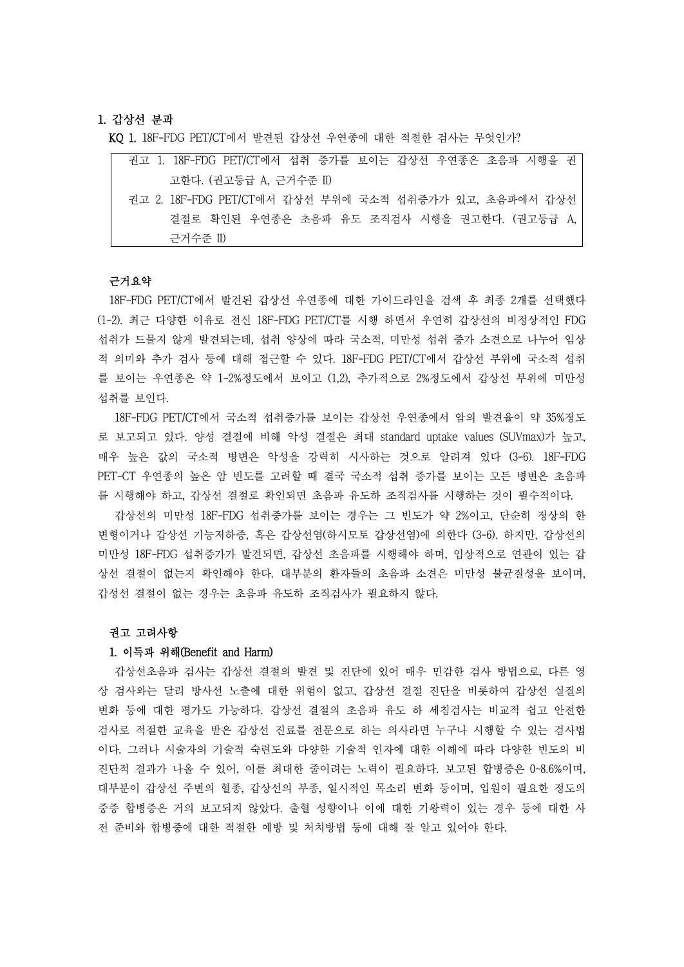### 1. **갑상선 분과**

KQ 1. 18F-FDG PET/CT에서 발견된 갑상선 우연종에 대한 적절한 검사는 무엇인가?

| 권고 1. 18F-FDG PET/CT에서 섭취 증가를 보이는 갑상선 우연종은 초음파 시행을 권   |
|--------------------------------------------------------|
| 고한다. (권고등급 A, 근거수준 II)                                 |
| 권고 2. 18F-FDG PET/CT에서 갑상선 부위에 국소적 섭취증가가 있고, 초음파에서 갑상선 |
| 결절로 확인된 우연종은 초음파 유도 조직검사 시행을 권고한다. (권고등급 A,            |
| 근거수준 II)                                               |

#### 근거요약

18F-FDG PET/CT에서 발견된 갑상선 우연종에 대한 가이드라인을 검색 후 최종 2개를 선택했다 (1-2). 최근 다양한 이유로 전신 18F-FDG PET/CT를 시행 하면서 우연히 갑상선의 비정상적인 FDG 섭취가 드물지 않게 발견되는데, 섭취 양상에 따라 국소적, 미만성 섭취 증가 소견으로 나누어 임상 적 의미와 추가 검사 등에 대해 접근할 수 있다. 18F-FDG PET/CT에서 갑상선 부위에 국소적 섭취 를 보이는 우연종은 약 1-2%정도에서 보이고 (1,2), 추가적으로 2%정도에서 갑상선 부위에 미만성 섭취를 보인다.

18F-FDG PET/CT에서 국소적 섭취증가를 보이는 갑상선 우연종에서 암의 발견율이 약 35%정도 로 보고되고 있다. 양성 결절에 비해 악성 결절은 최대 standard uptake values (SUVmax)가 높고,<br>매우 높은 값의 국소적 병변은 악성을 강력히 시사하는 것으로 알려져 있다 (3-6). 18F-FDG PET-CT 우연종의 높은 암 빈도를 고려할 때 결국 국소적 섭취 증가를 보이는 모든 병변은 초음파

를 시행해야 하고, 갑상선 결절로 확인되면 초음파 유도하 조직검사를 시행하는 것이 필수적이다.<br>갑상선의 미만성 18F-FDG 섭취증가를 보이는 경우는 그 빈도가 약 2%이고, 단순히 정상의 한 변형이거나 갑상선 기능저하증, 혹은 갑상선염(하시모토 갑상선염)에 의한다 (3-6). 하지만, 갑상선의 미만성 18F-FDG 섭취증가가 발견되면, 갑상선 초음파를 시행해야 하며, 임상적으로 연관이 있는 갑 상선 결절이 없는지 확인해야 한다. 대부분의 환자들의 초음파 소견은 미만성 불균질성을 보이며,<br>갑성선 결절이 없는 경우는 초음파 유도하 조직검사가 필요하지 않다.<br>**권고 고려사항** 

## 1. 이득과 위해(Benefit and Harm)

갑상선초음파 검사는 갑상선 결절의 발견 및 진단에 있어 매우 민감한 검사 방법으로, 다른 영 상 검사와는 달리 방사선 노출에 대한 위험이 없고, 갑상선 결절 진단을 비롯하여 갑상선 실질의 변화 등에 대한 평가도 가능하다. 갑상선 결절의 초음파 유도 하 세침검사는 비교적 쉽고 안전한 검사로 적절한 교육을 받은 갑상선 진료를 전문으로 하는 의사라면 누구나 시행할 수 있는 검사법 이다. 그러나 시술자의 기술적 숙련도와 다양한 기술적 인자에 대한 이해에 따라 다양한 빈도의 비 진단적 결과가 나올 수 있어, 이를 최대한 줄이려는 노력이 필요하다. 보고된 합병증은 0~8.6%이며,<br>대부분이 갑상선 주변의 혈종, 갑상선의 부종, 일시적인 목소리 변화 등이며, 입원이 필요한 정도의 중증 합병증은 거의 보고되지 않았다. 출혈 성향이나 이에 대한 기왕력이 있는 경우 등에 대한 사 전 준비와 합병증에 대한 적절한 예방 및 처치방법 등에 대해 잘 알고 있어야 한다.